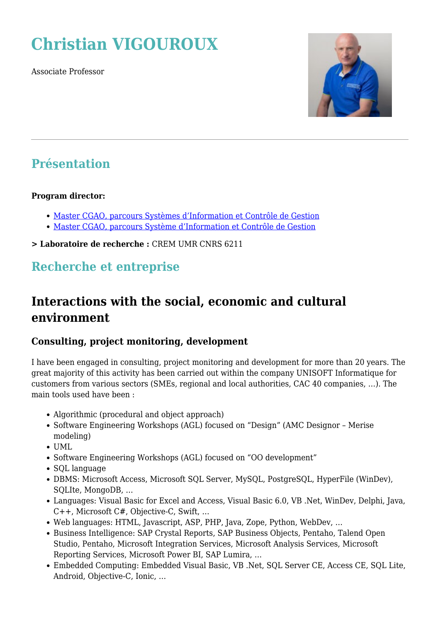# **Christian VIGOUROUX**

Associate Professor



#### **Présentation**

#### **Program director:**

- [Master CGAO, parcours Systèmes d'Information et Contrôle de Gestion](https://www.www.igr.univ-rennes1.fr/diplome/fi-master-sicg)
- [Master CGAO, parcours Système d'Information et Contrôle de Gestion](https://www.www.igr.univ-rennes1.fr/diplome/fa-master-sicg)

**> Laboratoire de recherche :** CREM UMR CNRS 6211

#### **Recherche et entreprise**

### **Interactions with the social, economic and cultural environment**

#### **Consulting, project monitoring, development**

I have been engaged in consulting, project monitoring and development for more than 20 years. The great majority of this activity has been carried out within the company UNISOFT Informatique for customers from various sectors (SMEs, regional and local authorities, CAC 40 companies, …). The main tools used have been :

- Algorithmic (procedural and object approach)
- Software Engineering Workshops (AGL) focused on "Design" (AMC Designor Merise modeling)
- UML
- Software Engineering Workshops (AGL) focused on "OO development"
- SQL language
- DBMS: Microsoft Access, Microsoft SQL Server, MySQL, PostgreSQL, HyperFile (WinDev), SQLIte, MongoDB, …
- Languages: Visual Basic for Excel and Access, Visual Basic 6.0, VB .Net, WinDev, Delphi, Java, C++, Microsoft C#, Objective-C, Swift, …
- Web languages: HTML, Javascript, ASP, PHP, Java, Zope, Python, WebDev, …
- Business Intelligence: SAP Crystal Reports, SAP Business Objects, Pentaho, Talend Open Studio, Pentaho, Microsoft Integration Services, Microsoft Analysis Services, Microsoft Reporting Services, Microsoft Power BI, SAP Lumira, …
- Embedded Computing: Embedded Visual Basic, VB .Net, SQL Server CE, Access CE, SQL Lite, Android, Objective-C, Ionic, …